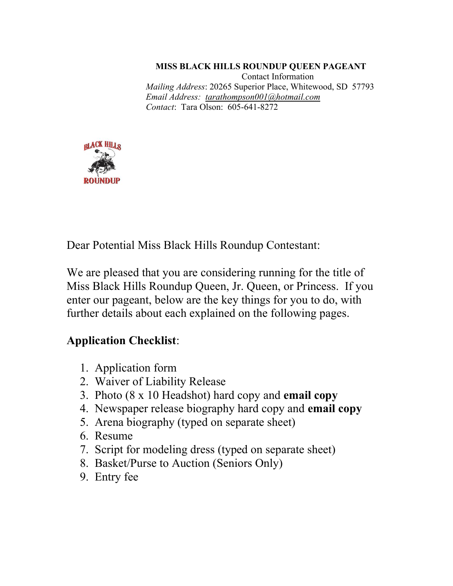**MISS BLACK HILLS ROUNDUP QUEEN PAGEANT** Contact Information *Mailing Address*: 20265 Superior Place, Whitewood, SD 57793 *Email Address: tarathompson001@hotmail.com Contact*: Tara Olson: 605-641-8272



Dear Potential Miss Black Hills Roundup Contestant:

We are pleased that you are considering running for the title of Miss Black Hills Roundup Queen, Jr. Queen, or Princess. If you enter our pageant, below are the key things for you to do, with further details about each explained on the following pages.

## **Application Checklist**:

- 1. Application form
- 2. Waiver of Liability Release
- 3. Photo (8 x 10 Headshot) hard copy and **email copy**
- 4. Newspaper release biography hard copy and **email copy**
- 5. Arena biography (typed on separate sheet)
- 6. Resume
- 7. Script for modeling dress (typed on separate sheet)
- 8. Basket/Purse to Auction (Seniors Only)
- 9. Entry fee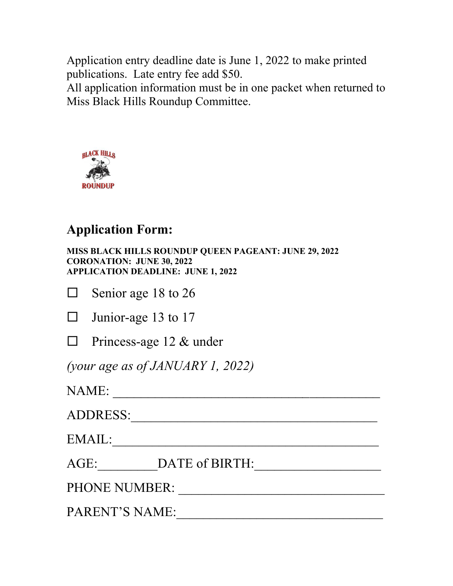Application entry deadline date is June 1, 2022 to make printed publications. Late entry fee add \$50.

All application information must be in one packet when returned to Miss Black Hills Roundup Committee.



## **Application Form:**

**MISS BLACK HILLS ROUNDUP QUEEN PAGEANT: JUNE 29, 2022 CORONATION: JUNE 30, 2022 APPLICATION DEADLINE: JUNE 1, 2022**

| $\Box$ Senior age 18 to 26 |  |
|----------------------------|--|
|                            |  |

| $\Box$ Junior-age 13 to 17 |  |  |
|----------------------------|--|--|
|                            |  |  |

 $\Box$  Princess-age 12 & under

*(your age as of JANUARY 1, 2022)*

NAME: \_\_\_\_\_\_\_\_\_\_\_\_\_\_\_\_\_\_\_\_\_\_\_\_\_\_\_\_\_\_\_\_\_\_\_\_\_\_

ADDRESS:\_\_\_\_\_\_\_\_\_\_\_\_\_\_\_\_\_\_\_\_\_\_\_\_\_\_\_\_\_\_\_\_\_\_\_\_\_

 $\text{EMAIL:}\quad$ 

AGE:\_\_\_\_\_\_\_\_\_DATE of BIRTH:\_\_\_\_\_\_\_\_\_\_\_\_\_\_\_\_\_\_\_

PHONE NUMBER: \_\_\_\_\_\_\_\_\_\_\_\_\_\_\_\_\_\_\_\_\_\_\_\_\_\_\_\_\_\_\_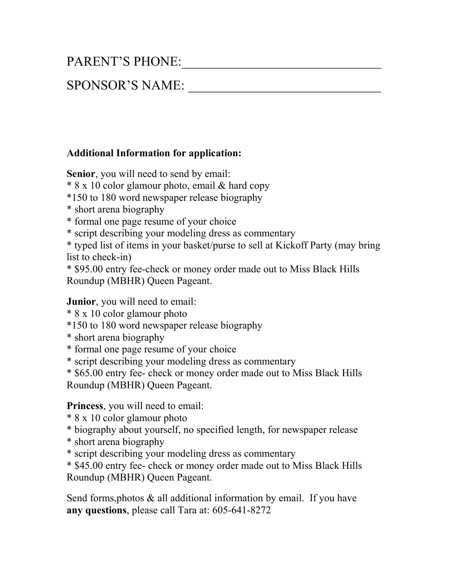# PARENT'S PHONE:

## SPONSOR'S NAME:

#### **Additional Information for application:**

**Senior**, you will need to send by email:

\* 8 x 10 color glamour photo, email & hard copy

\*150 to 180 word newspaper release biography

\* short arena biography

\* formal one page resume of your choice

\* script describing your modeling dress as commentary

\* typed list of items in your basket/purse to sell at Kickoff Party (may bring list to check-in)

\* \$95.00 entry fee-check or money order made out to Miss Black Hills Roundup (MBHR) Queen Pageant.

**Junior**, you will need to email:

\* 8 x 10 color glamour photo

\*150 to 180 word newspaper release biography

\* short arena biography

\* formal one page resume of your choice

\* script describing your modeling dress as commentary

\* \$65.00 entry fee- check or money order made out to Miss Black Hills

Roundup (MBHR) Queen Pageant.

**Princess**, you will need to email:

\* 8 x 10 color glamour photo

\* biography about yourself, no specified length, for newspaper release

\* short arena biography

\* script describing your modeling dress as commentary

\* \$45.00 entry fee- check or money order made out to Miss Black Hills Roundup (MBHR) Queen Pageant.

Send forms, photos  $\&$  all additional information by email. If you have **any questions**, please call Tara at: 605-641-8272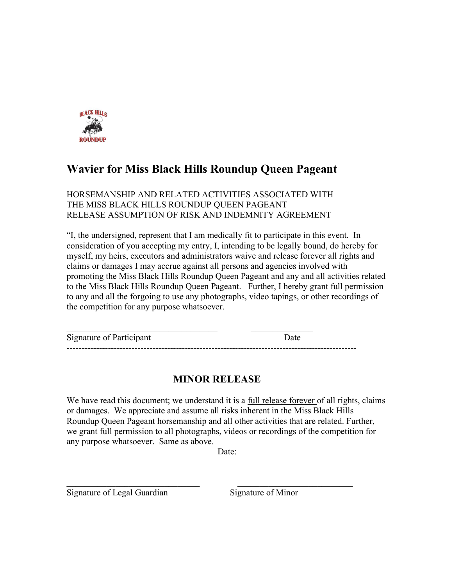

## **Wavier for Miss Black Hills Roundup Queen Pageant**

HORSEMANSHIP AND RELATED ACTIVITIES ASSOCIATED WITH THE MISS BLACK HILLS ROUNDUP QUEEN PAGEANT RELEASE ASSUMPTION OF RISK AND INDEMNITY AGREEMENT

"I, the undersigned, represent that I am medically fit to participate in this event. In consideration of you accepting my entry, I, intending to be legally bound, do hereby for myself, my heirs, executors and administrators waive and release forever all rights and claims or damages I may accrue against all persons and agencies involved with promoting the Miss Black Hills Roundup Queen Pageant and any and all activities related to the Miss Black Hills Roundup Queen Pageant. Further, I hereby grant full permission to any and all the forgoing to use any photographs, video tapings, or other recordings of the competition for any purpose whatsoever.

| Signature of Participant |  |
|--------------------------|--|
|                          |  |

### **MINOR RELEASE**

We have read this document; we understand it is a full release forever of all rights, claims or damages. We appreciate and assume all risks inherent in the Miss Black Hills Roundup Queen Pageant horsemanship and all other activities that are related. Further, we grant full permission to all photographs, videos or recordings of the competition for any purpose whatsoever. Same as above.

Date:

Signature of Legal Guardian Signature of Minor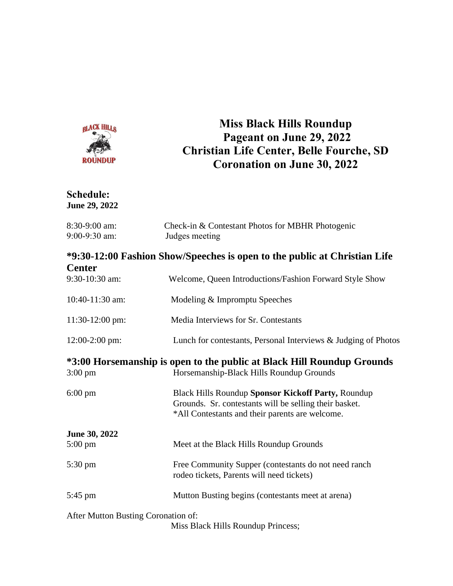

## **Miss Black Hills Roundup Pageant on June 29, 2022 Christian Life Center, Belle Fourche, SD Coronation on June 30, 2022**

#### **Schedule: June 29, 2022**

| 8:30-9:00 am:<br>9:00-9:30 am:      | Check-in & Contestant Photos for MBHR Photogenic<br>Judges meeting                                                                                              |  |
|-------------------------------------|-----------------------------------------------------------------------------------------------------------------------------------------------------------------|--|
|                                     | *9:30-12:00 Fashion Show/Speeches is open to the public at Christian Life                                                                                       |  |
| <b>Center</b>                       |                                                                                                                                                                 |  |
| 9:30-10:30 am:                      | Welcome, Queen Introductions/Fashion Forward Style Show                                                                                                         |  |
| 10:40-11:30 am:                     | Modeling & Impromptu Speeches                                                                                                                                   |  |
| $11:30-12:00$ pm:                   | Media Interviews for Sr. Contestants                                                                                                                            |  |
| 12:00-2:00 pm:                      | Lunch for contestants, Personal Interviews & Judging of Photos                                                                                                  |  |
|                                     | *3:00 Horsemanship is open to the public at Black Hill Roundup Grounds                                                                                          |  |
| $3:00 \text{ pm}$                   | Horsemanship-Black Hills Roundup Grounds                                                                                                                        |  |
| $6:00 \text{ pm}$                   | Black Hills Roundup Sponsor Kickoff Party, Roundup<br>Grounds. Sr. contestants will be selling their basket.<br>*All Contestants and their parents are welcome. |  |
| June 30, 2022                       |                                                                                                                                                                 |  |
| $5:00 \text{ pm}$                   | Meet at the Black Hills Roundup Grounds                                                                                                                         |  |
| $5:30 \text{ pm}$                   | Free Community Supper (contestants do not need ranch<br>rodeo tickets, Parents will need tickets)                                                               |  |
| 5:45 pm                             | Mutton Busting begins (contestants meet at arena)                                                                                                               |  |
| After Mutton Busting Coronation of: |                                                                                                                                                                 |  |
|                                     | Miss Black Hills Roundup Princess;                                                                                                                              |  |